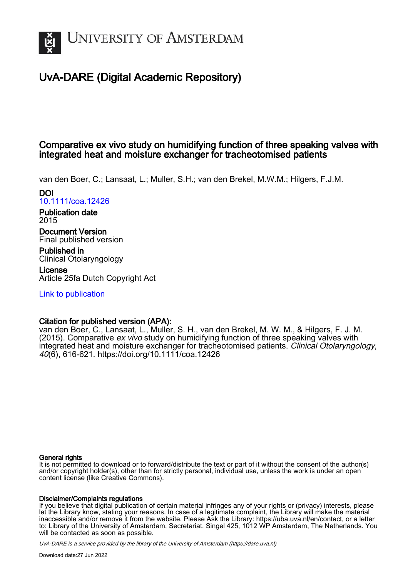

# UvA-DARE (Digital Academic Repository)

## Comparative ex vivo study on humidifying function of three speaking valves with integrated heat and moisture exchanger for tracheotomised patients

van den Boer, C.; Lansaat, L.; Muller, S.H.; van den Brekel, M.W.M.; Hilgers, F.J.M.

### DOI [10.1111/coa.12426](https://doi.org/10.1111/coa.12426)

Publication date 2015

Document Version Final published version

Published in Clinical Otolaryngology

License Article 25fa Dutch Copyright Act

[Link to publication](https://dare.uva.nl/personal/pure/en/publications/comparative-ex-vivo-study-on-humidifying-function-of-three-speaking-valves-with-integrated-heat-and-moisture-exchanger-for-tracheotomised-patients(58fe1b59-c556-484b-8c71-3d887fa06dcb).html)

### Citation for published version (APA):

van den Boer, C., Lansaat, L., Muller, S. H., van den Brekel, M. W. M., & Hilgers, F. J. M. (2015). Comparative ex vivo study on humidifying function of three speaking valves with integrated heat and moisture exchanger for tracheotomised patients. Clinical Otolaryngology, 40(6), 616-621.<https://doi.org/10.1111/coa.12426>

#### General rights

It is not permitted to download or to forward/distribute the text or part of it without the consent of the author(s) and/or copyright holder(s), other than for strictly personal, individual use, unless the work is under an open content license (like Creative Commons).

#### Disclaimer/Complaints regulations

If you believe that digital publication of certain material infringes any of your rights or (privacy) interests, please let the Library know, stating your reasons. In case of a legitimate complaint, the Library will make the material inaccessible and/or remove it from the website. Please Ask the Library: https://uba.uva.nl/en/contact, or a letter to: Library of the University of Amsterdam, Secretariat, Singel 425, 1012 WP Amsterdam, The Netherlands. You will be contacted as soon as possible.

UvA-DARE is a service provided by the library of the University of Amsterdam (http*s*://dare.uva.nl)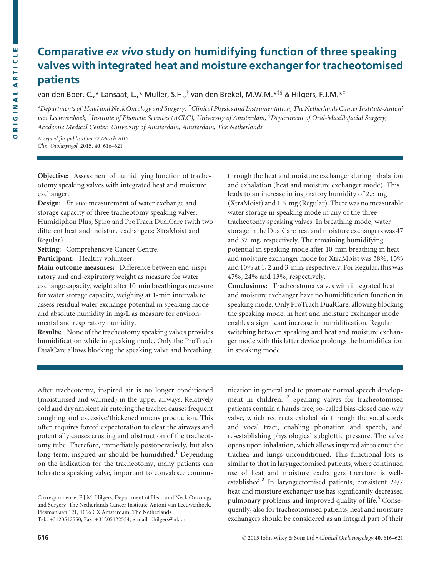## Comparative ex vivo study on humidifying function of three speaking valves with integrated heat and moisture exchanger for tracheotomised patients

van den Boer, C.,\* Lansaat, L.,\* Muller, S.H.,† van den Brekel, M.W.M.\*‡§ & Hilgers, F.J.M.\*‡

\*Departments of Head and Neck Oncology and Surgery, <sup>†</sup>Clinical Physics and Instrumentation, The Netherlands Cancer Institute-Antoni van Leeuwenhoek, <sup>‡</sup>Institute of Phonetic Sciences (ACLC), University of Amsterdam, <sup>§</sup>Department of Oral-Maxillofacial Surgery, Academic Medical Center, University of Amsterdam, Amsterdam, The Netherlands

Accepted for publication 22 March 2015 Clin. Otolaryngol. 2015, 40, 616–<sup>621</sup>

Objective: Assessment of humidifying function of tracheotomy speaking valves with integrated heat and moisture exchanger.

Design: *Ex vivo* measurement of water exchange and storage capacity of three tracheotomy speaking valves: Humidiphon Plus, Spiro and ProTrach DualCare (with two different heat and moisture exchangers: XtraMoist and Regular).

Setting: Comprehensive Cancer Centre.

Participant: Healthy volunteer.

Main outcome measures: Difference between end-inspiratory and end-expiratory weight as measure for water exchange capacity, weight after 10 min breathing as measure for water storage capacity, weighing at 1-min intervals to assess residual water exchange potential in speaking mode and absolute humidity in mg/L as measure for environmental and respiratory humidity.

Results: None of the tracheotomy speaking valves provides humidification while in speaking mode. Only the ProTrach DualCare allows blocking the speaking valve and breathing

through the heat and moisture exchanger during inhalation and exhalation (heat and moisture exchanger mode). This leads to an increase in inspiratory humidity of 2.5 mg (XtraMoist) and 1.6 mg (Regular). There was no measurable water storage in speaking mode in any of the three tracheotomy speaking valves. In breathing mode, water storage in the DualCare heat and moisture exchangers was 47 and 37 mg, respectively. The remaining humidifying potential in speaking mode after 10 min breathing in heat and moisture exchanger mode for XtraMoist was 38%, 15% and 10% at 1, 2 and 3 min, respectively. For Regular, this was 47%, 24% and 13%, respectively.

Conclusions: Tracheostoma valves with integrated heat and moisture exchanger have no humidification function in speaking mode. Only ProTrach DualCare, allowing blocking the speaking mode, in heat and moisture exchanger mode enables a significant increase in humidification. Regular switching between speaking and heat and moisture exchanger mode with this latter device prolongs the humidification in speaking mode.

After tracheotomy, inspired air is no longer conditioned (moisturised and warmed) in the upper airways. Relatively cold and dry ambient air entering the trachea causes frequent coughing and excessive/thickened mucus production. This often requires forced expectoration to clear the airways and potentially causes crusting and obstruction of the tracheotomy tube. Therefore, immediately postoperatively, but also long-term, inspired air should be humidified.<sup>1</sup> Depending on the indication for the tracheotomy, many patients can tolerate a speaking valve, important to convalesce commu-

Correspondence: F.J.M. Hilgers, Department of Head and Neck Oncology and Surgery, The Netherlands Cancer Institute-Antoni van Leeuwenhoek, Plesmanlaan 121, 1066 CX Amsterdam, The Netherlands. Tel.: +3120512550; Fax: +31205122554; e-mail: f.hilgers@nki.nl

nication in general and to promote normal speech development in children.<sup>1,2</sup> Speaking valves for tracheotomised patients contain a hands-free, so-called bias-closed one-way valve, which redirects exhaled air through the vocal cords and vocal tract, enabling phonation and speech, and re-establishing physiological subglottic pressure. The valve opens upon inhalation, which allows inspired air to enter the trachea and lungs unconditioned. This functional loss is similar to that in laryngectomised patients, where continued use of heat and moisture exchangers therefore is wellestablished.<sup>3</sup> In laryngectomised patients, consistent 24/7 heat and moisture exchanger use has significantly decreased pulmonary problems and improved quality of life.<sup>3</sup> Consequently, also for tracheotomised patients, heat and moisture exchangers should be considered as an integral part of their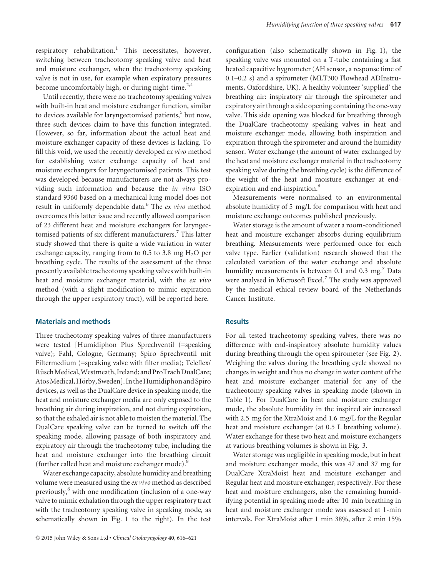respiratory rehabilitation.<sup>1</sup> This necessitates, however, switching between tracheotomy speaking valve and heat and moisture exchanger, when the tracheotomy speaking valve is not in use, for example when expiratory pressures become uncomfortably high, or during night-time. $2,4$ 

Until recently, there were no tracheotomy speaking valves with built-in heat and moisture exchanger function, similar to devices available for laryngectomised patients,<sup>5</sup> but now, three such devices claim to have this function integrated. However, so far, information about the actual heat and moisture exchanger capacity of these devices is lacking. To fill this void, we used the recently developed ex vivo method for establishing water exchange capacity of heat and moisture exchangers for laryngectomised patients. This test was developed because manufacturers are not always providing such information and because the in vitro ISO standard 9360 based on a mechanical lung model does not result in uniformly dependable data.<sup>6</sup> The ex vivo method overcomes this latter issue and recently allowed comparison of 23 different heat and moisture exchangers for laryngectomised patients of six different manufacturers.<sup>7</sup> This latter study showed that there is quite a wide variation in water exchange capacity, ranging from to 0.5 to 3.8 mg  $H<sub>2</sub>O$  per breathing cycle. The results of the assessment of the three presently available tracheotomy speaking valves with built-in heat and moisture exchanger material, with the ex vivo method (with a slight modification to mimic expiration through the upper respiratory tract), will be reported here.

#### Materials and methods

Three tracheotomy speaking valves of three manufacturers were tested [Humidiphon Plus Sprechventil (=speaking valve); Fahl, Cologne, Germany; Spiro Sprechventil mit Filtermedium (=speaking valve with filter media); Teleflex/ Rüsch Medical, Westmeath, Ireland; and ProTrach DualCare; Atos Medical, Hörby, Sweden]. In the Humidiphon and Spiro devices, as well as the DualCare device in speaking mode, the heat and moisture exchanger media are only exposed to the breathing air during inspiration, and not during expiration, so that the exhaled air is not able to moisten the material. The DualCare speaking valve can be turned to switch off the speaking mode, allowing passage of both inspiratory and expiratory air through the tracheotomy tube, including the heat and moisture exchanger into the breathing circuit (further called heat and moisture exchanger mode).<sup>8</sup>

Water exchange capacity, absolute humidity and breathing volume were measured using the ex vivo method as described previously,<sup>6</sup> with one modification (inclusion of a one-way valve to mimic exhalation through the upper respiratory tract with the tracheotomy speaking valve in speaking mode, as schematically shown in Fig. 1 to the right). In the test configuration (also schematically shown in Fig. 1), the speaking valve was mounted on a T-tube containing a fast heated capacitive hygrometer (AH sensor, a response time of 0.1–0.2 s) and a spirometer (MLT300 Flowhead ADInstruments, Oxfordshire, UK). A healthy volunteer 'supplied' the breathing air: inspiratory air through the spirometer and expiratory air through a side opening containing the one-way valve. This side opening was blocked for breathing through the DualCare tracheotomy speaking valves in heat and moisture exchanger mode, allowing both inspiration and expiration through the spirometer and around the humidity sensor. Water exchange (the amount of water exchanged by the heat and moisture exchanger material in the tracheotomy speaking valve during the breathing cycle) is the difference of the weight of the heat and moisture exchanger at endexpiration and end-inspiration.<sup>6</sup>

Measurements were normalised to an environmental absolute humidity of 5 mg/L for comparison with heat and moisture exchange outcomes published previously.

Water storage is the amount of water a room-conditioned heat and moisture exchanger absorbs during equilibrium breathing. Measurements were performed once for each valve type. Earlier (validation) research showed that the calculated variation of the water exchange and absolute humidity measurements is between 0.1 and 0.3 mg. $^7$  Data were analysed in Microsoft Excel.<sup>7</sup> The study was approved by the medical ethical review board of the Netherlands Cancer Institute.

#### **Results**

For all tested tracheotomy speaking valves, there was no difference with end-inspiratory absolute humidity values during breathing through the open spirometer (see Fig. 2). Weighing the valves during the breathing cycle showed no changes in weight and thus no change in water content of the heat and moisture exchanger material for any of the tracheotomy speaking valves in speaking mode (shown in Table 1). For DualCare in heat and moisture exchanger mode, the absolute humidity in the inspired air increased with 2.5 mg for the XtraMoist and 1.6 mg/L for the Regular heat and moisture exchanger (at 0.5 L breathing volume). Water exchange for these two heat and moisture exchangers at various breathing volumes is shown in Fig. 3.

Water storage was negligible in speaking mode, but in heat and moisture exchanger mode, this was 47 and 37 mg for DualCare XtraMoist heat and moisture exchanger and Regular heat and moisture exchanger, respectively. For these heat and moisture exchangers, also the remaining humidifying potential in speaking mode after 10 min breathing in heat and moisture exchanger mode was assessed at 1-min intervals. For XtraMoist after 1 min 38%, after 2 min 15%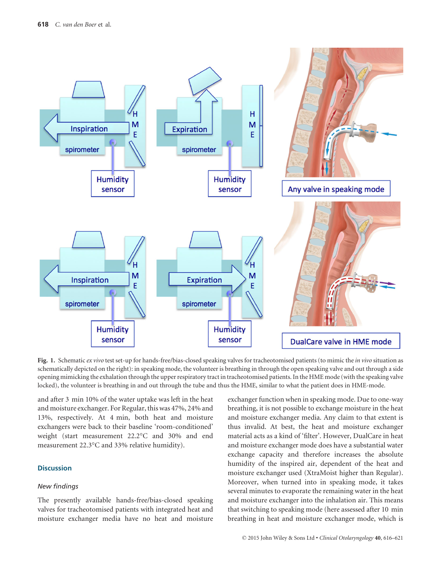

Fig. 1. Schematic ex vivo test set-up for hands-free/bias-closed speaking valves for tracheotomised patients (to mimic the in vivo situation as schematically depicted on the right): in speaking mode, the volunteer is breathing in through the open speaking valve and out through a side opening mimicking the exhalation through the upper respiratory tract in tracheotomised patients. In the HME mode (with the speaking valve locked), the volunteer is breathing in and out through the tube and thus the HME, similar to what the patient does in HME-mode.

and after 3 min 10% of the water uptake was left in the heat and moisture exchanger. For Regular, this was 47%, 24% and 13%, respectively. At 4 min, both heat and moisture exchangers were back to their baseline 'room-conditioned' weight (start measurement 22.2°C and 30% and end measurement 22.3°C and 33% relative humidity).

#### **Discussion**

#### New findings

The presently available hands-free/bias-closed speaking valves for tracheotomised patients with integrated heat and moisture exchanger media have no heat and moisture

exchanger function when in speaking mode. Due to one-way breathing, it is not possible to exchange moisture in the heat and moisture exchanger media. Any claim to that extent is thus invalid. At best, the heat and moisture exchanger material acts as a kind of 'filter'. However, DualCare in heat and moisture exchanger mode does have a substantial water exchange capacity and therefore increases the absolute humidity of the inspired air, dependent of the heat and moisture exchanger used (XtraMoist higher than Regular). Moreover, when turned into in speaking mode, it takes several minutes to evaporate the remaining water in the heat and moisture exchanger into the inhalation air. This means that switching to speaking mode (here assessed after 10 min breathing in heat and moisture exchanger mode, which is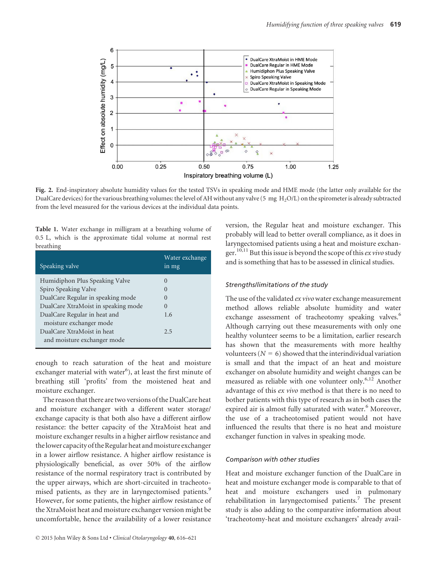

Fig. 2. End-inspiratory absolute humidity values for the tested TSVs in speaking mode and HME mode (the latter only available for the DualCare devices) for the various breathing volumes: the level of AH without any valve (5 mg H<sub>2</sub>O/L) on the spirometer is already subtracted from the level measured for the various devices at the individual data points.

Table 1. Water exchange in milligram at a breathing volume of 0.5 L, which is the approximate tidal volume at normal rest breathing

| Speaking valve                      | Water exchange<br>in mg |
|-------------------------------------|-------------------------|
| Humidiphon Plus Speaking Valve      | $\left( \right)$        |
| Spiro Speaking Valve                | $\Omega$                |
| DualCare Regular in speaking mode   | $\left( \right)$        |
| DualCare XtraMoist in speaking mode | $\Omega$                |
| DualCare Regular in heat and        | 1.6                     |
| moisture exchanger mode             |                         |
| DualCare XtraMoist in heat          | 2.5                     |
| and moisture exchanger mode         |                         |

enough to reach saturation of the heat and moisture exchanger material with water<sup>6</sup>), at least the first minute of breathing still 'profits' from the moistened heat and moisture exchanger.

The reason that there are two versions of the DualCare heat and moisture exchanger with a different water storage/ exchange capacity is that both also have a different airflow resistance: the better capacity of the XtraMoist heat and moisture exchanger results in a higher airflow resistance and the lower capacity of the Regular heat and moisture exchanger in a lower airflow resistance. A higher airflow resistance is physiologically beneficial, as over 50% of the airflow resistance of the normal respiratory tract is contributed by the upper airways, which are short-circuited in tracheotomised patients, as they are in laryngectomised patients.<sup>9</sup> However, for some patients, the higher airflow resistance of the XtraMoist heat and moisture exchanger version might be uncomfortable, hence the availability of a lower resistance version, the Regular heat and moisture exchanger. This probably will lead to better overall compliance, as it does in laryngectomised patients using a heat and moisture exchanger.<sup>10,11</sup> But this issue is beyond the scope of this *ex vivo* study and is something that has to be assessed in clinical studies.

#### Strengths/limitations of the study

The use of the validated ex vivo water exchange measurement method allows reliable absolute humidity and water exchange assessment of tracheotomy speaking valves.<sup>6</sup> Although carrying out these measurements with only one healthy volunteer seems to be a limitation, earlier research has shown that the measurements with more healthy volunteers ( $N = 6$ ) showed that the interindividual variation is small and that the impact of an heat and moisture exchanger on absolute humidity and weight changes can be measured as reliable with one volunteer only.<sup>6,12</sup> Another advantage of this ex vivo method is that there is no need to bother patients with this type of research as in both cases the expired air is almost fully saturated with water.<sup>6</sup> Moreover, the use of a tracheotomised patient would not have influenced the results that there is no heat and moisture exchanger function in valves in speaking mode.

#### Comparison with other studies

Heat and moisture exchanger function of the DualCare in heat and moisture exchanger mode is comparable to that of heat and moisture exchangers used in pulmonary rehabilitation in laryngectomised patients.<sup>7</sup> The present study is also adding to the comparative information about 'tracheotomy-heat and moisture exchangers' already avail-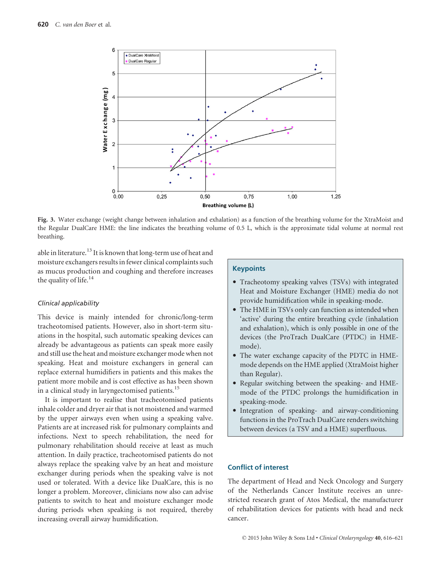

Fig. 3. Water exchange (weight change between inhalation and exhalation) as a function of the breathing volume for the XtraMoist and the Regular DualCare HME: the line indicates the breathing volume of 0.5 L, which is the approximate tidal volume at normal rest breathing.

able in literature.<sup>13</sup> It is known that long-term use of heat and moisture exchangers results in fewer clinical complaints such as mucus production and coughing and therefore increases the quality of life. $14$ 

#### Clinical applicability

This device is mainly intended for chronic/long-term tracheotomised patients. However, also in short-term situations in the hospital, such automatic speaking devices can already be advantageous as patients can speak more easily and still use the heat and moisture exchanger mode when not speaking. Heat and moisture exchangers in general can replace external humidifiers in patients and this makes the patient more mobile and is cost effective as has been shown in a clinical study in laryngectomised patients.<sup>15</sup>

It is important to realise that tracheotomised patients inhale colder and dryer air that is not moistened and warmed by the upper airways even when using a speaking valve. Patients are at increased risk for pulmonary complaints and infections. Next to speech rehabilitation, the need for pulmonary rehabilitation should receive at least as much attention. In daily practice, tracheotomised patients do not always replace the speaking valve by an heat and moisture exchanger during periods when the speaking valve is not used or tolerated. With a device like DualCare, this is no longer a problem. Moreover, clinicians now also can advise patients to switch to heat and moisture exchanger mode during periods when speaking is not required, thereby increasing overall airway humidification.

#### **Keypoints**

- Tracheotomy speaking valves (TSVs) with integrated Heat and Moisture Exchanger (HME) media do not provide humidification while in speaking-mode.
- The HME in TSVs only can function as intended when 'active' during the entire breathing cycle (inhalation and exhalation), which is only possible in one of the devices (the ProTrach DualCare (PTDC) in HMEmode).
- The water exchange capacity of the PDTC in HMEmode depends on the HME applied (XtraMoist higher than Regular).
- Regular switching between the speaking- and HMEmode of the PTDC prolongs the humidification in speaking-mode.
- Integration of speaking- and airway-conditioning functions in the ProTrach DualCare renders switching between devices (a TSV and a HME) superfluous.

#### Conflict of interest

The department of Head and Neck Oncology and Surgery of the Netherlands Cancer Institute receives an unrestricted research grant of Atos Medical, the manufacturer of rehabilitation devices for patients with head and neck cancer.